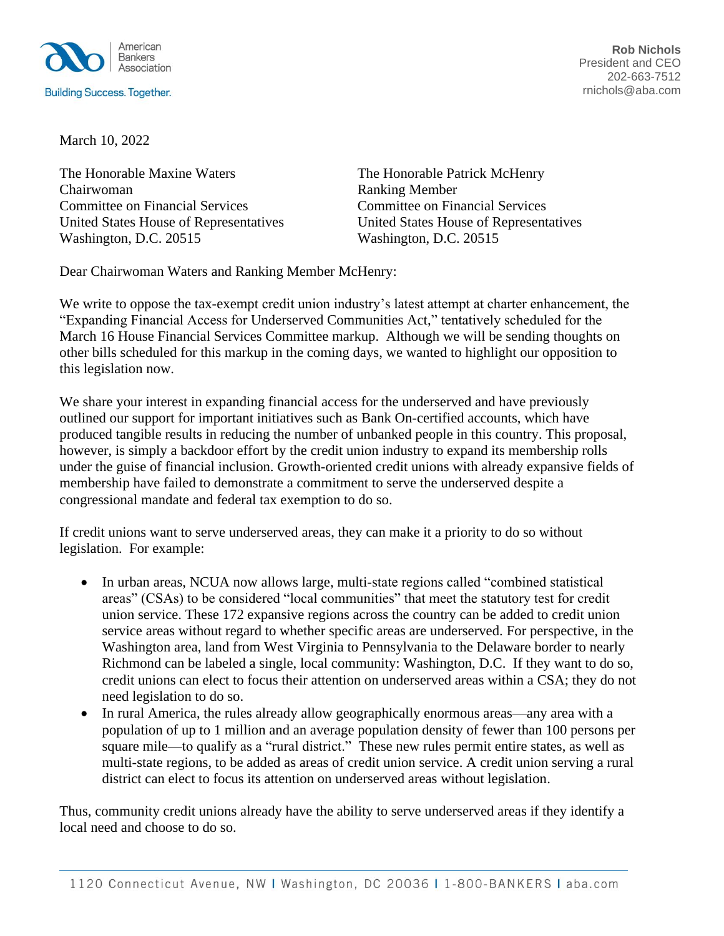

**Rob Nichols** President and CEO 202-663-7512 rnichols@aba.com

March 10, 2022

The Honorable Maxine Waters The Honorable Patrick McHenry Chairwoman Ranking Member Committee on Financial Services Committee on Financial Services Washington, D.C. 20515 Washington, D.C. 20515

United States House of Representatives United States House of Representatives

Dear Chairwoman Waters and Ranking Member McHenry:

We write to oppose the tax-exempt credit union industry's latest attempt at charter enhancement, the "Expanding Financial Access for Underserved Communities Act," tentatively scheduled for the March 16 House Financial Services Committee markup. Although we will be sending thoughts on other bills scheduled for this markup in the coming days, we wanted to highlight our opposition to this legislation now.

We share your interest in expanding financial access for the underserved and have previously outlined our support for important initiatives such as Bank On-certified accounts, which have produced tangible results in reducing the number of unbanked people in this country. This proposal, however, is simply a backdoor effort by the credit union industry to expand its membership rolls under the guise of financial inclusion. Growth-oriented credit unions with already expansive fields of membership have failed to demonstrate a commitment to serve the underserved despite a congressional mandate and federal tax exemption to do so.

If credit unions want to serve underserved areas, they can make it a priority to do so without legislation. For example:

- In urban areas, NCUA now allows large, multi-state regions called "combined statistical" areas" (CSAs) to be considered "local communities" that meet the statutory test for credit union service. These 172 expansive regions across the country can be added to credit union service areas without regard to whether specific areas are underserved. For perspective, in the Washington area, land from West Virginia to Pennsylvania to the Delaware border to nearly Richmond can be labeled a single, local community: Washington, D.C. If they want to do so, credit unions can elect to focus their attention on underserved areas within a CSA; they do not need legislation to do so.
- In rural America, the rules already allow geographically enormous areas—any area with a population of up to 1 million and an average population density of fewer than 100 persons per square mile—to qualify as a "rural district." These new rules permit entire states, as well as multi-state regions, to be added as areas of credit union service. A credit union serving a rural district can elect to focus its attention on underserved areas without legislation.

Thus, community credit unions already have the ability to serve underserved areas if they identify a local need and choose to do so.